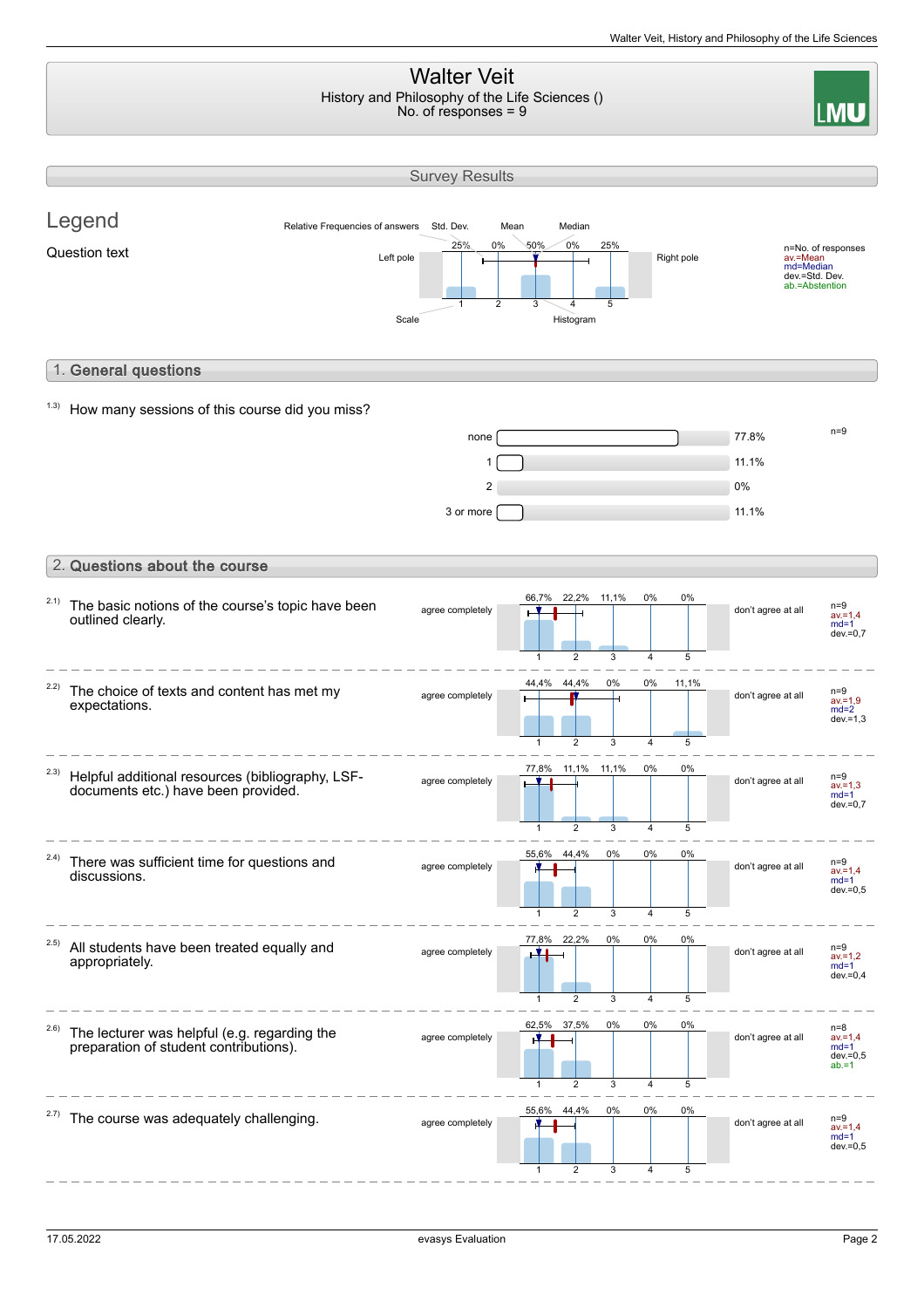#### Walter Veit History and Philosophy of the Life Sciences () **I MU** No. of responses = 9 Survey Results Legend Relative Frequencies of answers Std. Dev. Mean Median 25% 0% 50% 0% 25% n=No. of responses av.=Mean md=Median Question text  $L$  and  $L$  text pole  $\frac{L}{L}$  and  $\frac{L}{L}$  and  $\frac{L}{L}$  Right pole dev.=Std. Dev. ab.=Abstention 1 2 3 4 5 Scale Histogram 1. General questions  $1.3)$  How many sessions of this course did you miss? n=9 none 77.8%  $1 \Box$  $2$  0% and  $2\%$  $3 \text{ or more}$  11.1% 2. Questions about the course 66,7% 22,2% 11,1% 0% 0% <sup>2.1)</sup> The basic notions of the course's topic have been agree completely **the set of the set of the set of the set of the set of the set of the set of the set of the set of the set of the set of the set of the set of the set of the set of the set of the set of the set of the se** outlined clearly. av.=1,4 md=1  $dev = 0.7$ 5 3  $\overline{4}$ 5 1 44,4% 44,4% 0% 0% 11,1% 2.2) The choice of texts and content has met my agree completely  $\begin{array}{|c|c|c|c|c|}\n\hline\n\text{a} & \text{a} & \text{a} & \text{a} \\
\hline\n\text{a} & \text{b} & \text{c} & \text{d} \\
\hline\n\text{a} & \text{d} & \text{d} & \text{d} \\
\hline\n\end{array}$  don't agree at all  $\begin{array}{|c|c|c|}\n\hline\n\text{a} & \text{a} & \text{a} \\
\hline\n\text{a} & \text{d} & \text{d} & \text{d} \\
\hline\n\text$ expectations. av.=1,9 md=2 dev.=1,3 1 2 3 4 5 2.3) 77,8% 11,1% 11,1% 0% 0% Helpful additional resources (bibliography, LSFagree completely don't agree at all n=9 documents etc.) have been provided. av.=1,3 md=1 dev.=0,7  $\overline{3}$ 5  $\overline{2}$ 4 1 0% 55,6% 44,4% 0% 0% 2.4) There was sufficient time for questions and agree completely **The set of the set of the set of the set of the set of the set of the set of the set of the set of the set of the set of the set of the set of the set of the set of the set of the set of the set of the se** discussions. av.=1,4 md=1 dev.=0,5 2 4 5 1 3 77,8% 22,2% 0% 0% 0% 2.5) All students have been treated equally and agree completely **THE**  $\blacksquare$  don't agree at all av.=1,2 md=1 appropriately.  $dev = 0,4$ 5 1 2 3 4 62,5% 37,5% 0% 0% 0% 2.6) n=8 av.=1,4 md=1 The lecturer was helpful (e.g. regarding the agree completely **Times and Contagree at all** preparation of student contributions). dev.=0,5 ab.=1 1  $\overline{2}$ 3  $\overline{4}$ 5 \_\_\_\_\_\_\_\_\_\_\_\_\_\_\_ 55,6% 44,4%  $0%$ 0% 0%  $2.7$ ) The course was adequately challenging. agree completely  $\begin{array}{|c|c|c|c|c|c|}\n\hline\n\text{where} & \text{complete} & \text{and} & \text{and} & \text{and} & \text{and} & \text{and} & \text{and} & \text{and} & \text{and} & \text{and} & \text{and} & \text{and} & \text{and} & \text{and} & \text{and} & \text{and} & \text{and} & \text{and} & \text{and} & \text{and} & \text{and} & \text{and} & \text{and} & \text{and} & \text{and} & \text{and} & \text{and} & \text{and} & \text{and}$ av.=1,4 md=1 dev.=0,5 1 2 3 4 5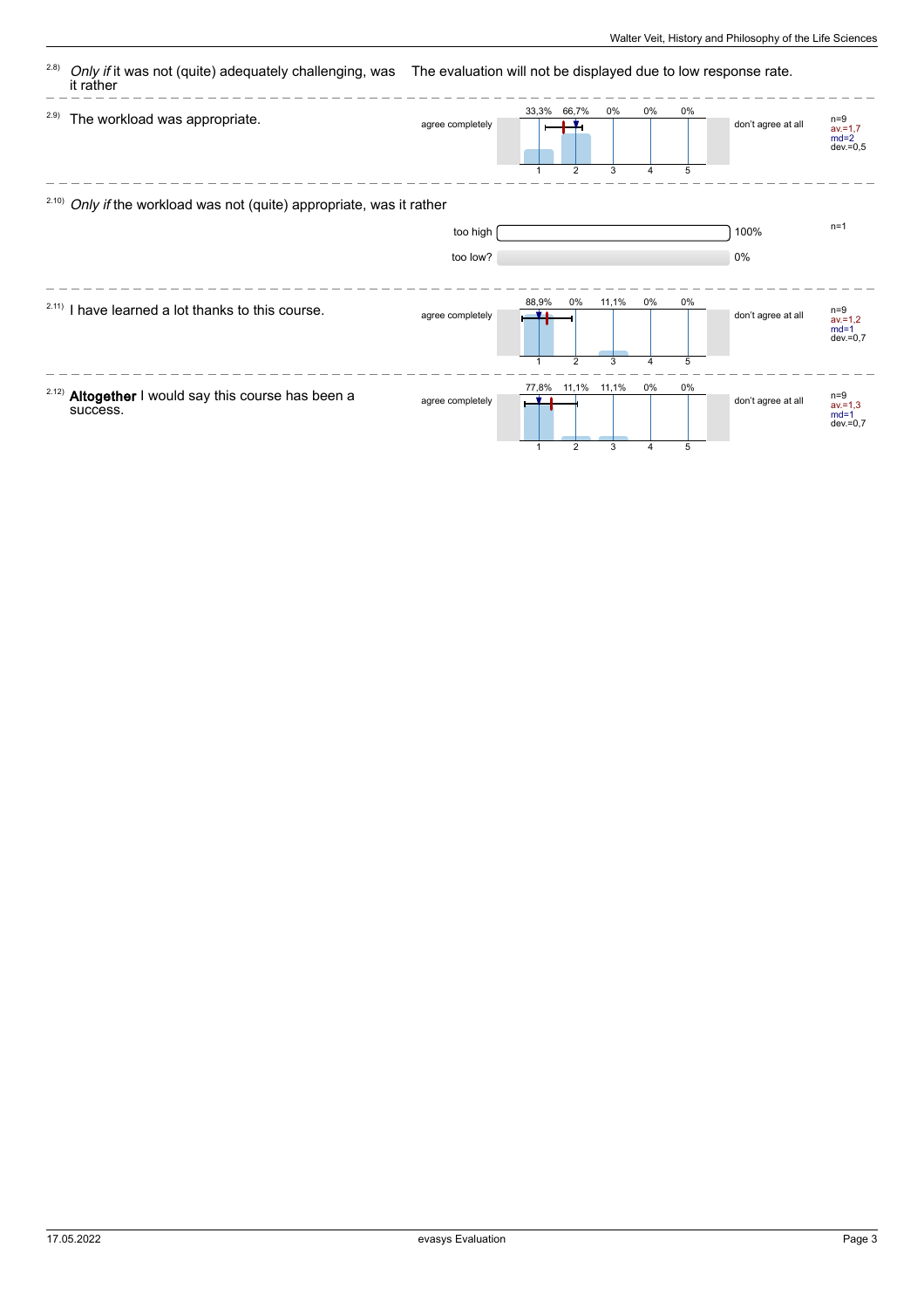| (2.8) | Only if it was not (quite) adequately challenging, was<br>it rather              | The evaluation will not be displayed due to low response rate. |                         |                                                 |         |                              |              |                    |                                              |
|-------|----------------------------------------------------------------------------------|----------------------------------------------------------------|-------------------------|-------------------------------------------------|---------|------------------------------|--------------|--------------------|----------------------------------------------|
| 2.9)  | The workload was appropriate.                                                    | agree completely                                               |                         | 33,3% 66,7%<br>$\overline{2}$                   | 0%<br>3 | 0%<br>$\boldsymbol{\Lambda}$ | 0%<br>5      | don't agree at all | $n=9$<br>$av = 1,7$<br>$md=2$<br>$dev = 0.5$ |
|       | <sup>2.10)</sup> Only if the workload was not (quite) appropriate, was it rather |                                                                |                         |                                                 |         |                              |              |                    |                                              |
|       |                                                                                  | too high                                                       |                         |                                                 |         |                              |              | 100%               | $n=1$                                        |
|       |                                                                                  | too low?                                                       |                         |                                                 |         |                              |              | 0%                 |                                              |
|       | <sup>2.11)</sup> I have learned a lot thanks to this course.                     | agree completely                                               | 88,9%                   | $0\%$                                           | 11,1%   | 0%                           | $0\%$        | don't agree at all | $n=9$<br>$av = 1,2$<br>$md=1$<br>$dev = 0.7$ |
| 2.12) | Altogether I would say this course has been a<br>success.                        | agree completely                                               | 77,8%<br>$\overline{1}$ | $\overline{2}$<br>11,1% 11,1%<br>$\overline{2}$ | 3<br>3  | 4<br>0%<br>4                 | 5<br>0%<br>5 | don't agree at all | $n=9$<br>$av = 1,3$<br>$md=1$<br>$dev = 0.7$ |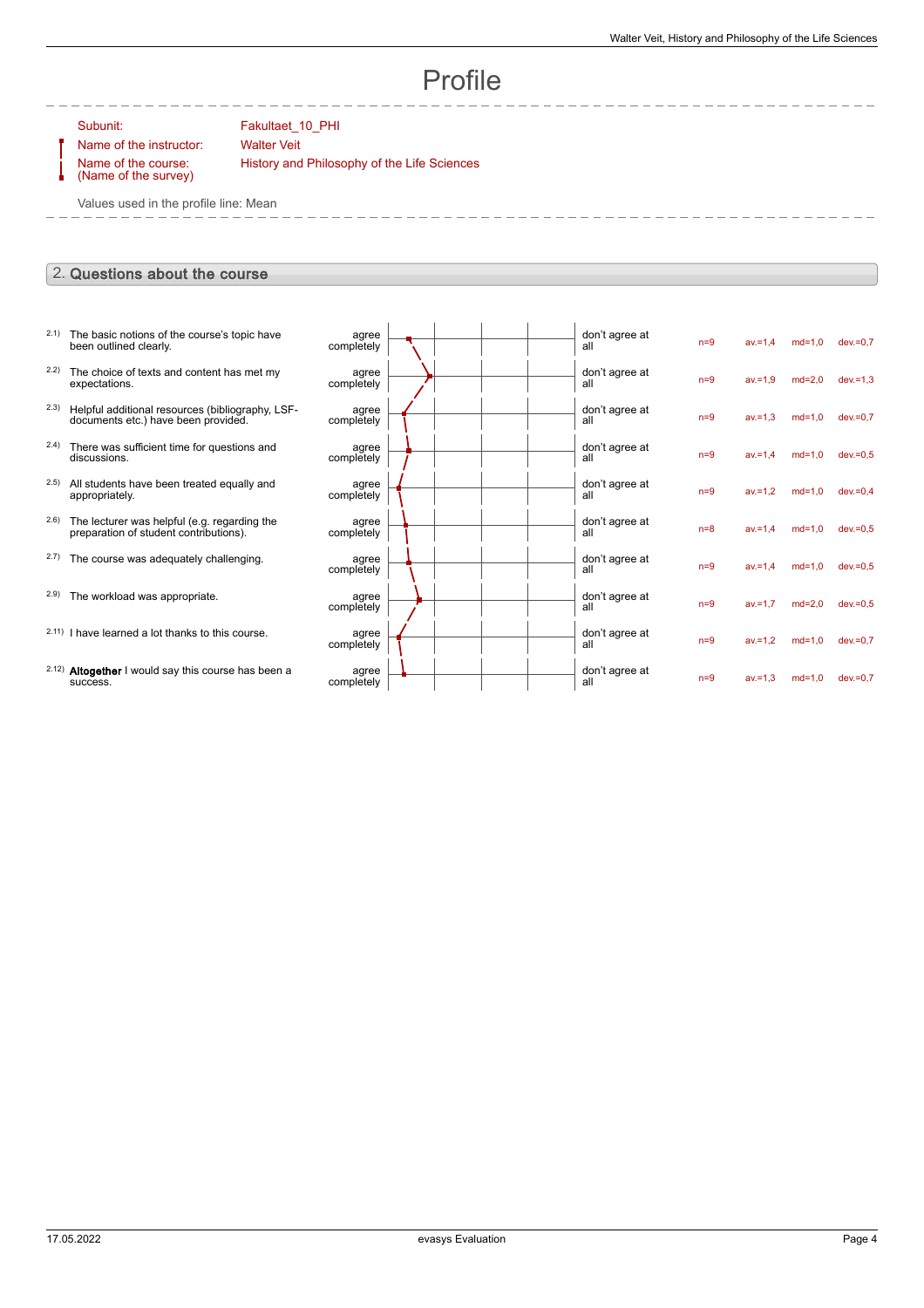# Profile

#### Subunit: Fakultaet\_10\_PHI

Name of the instructor: Walter Veit Name of the course:

History and Philosophy of the Life Sciences

(Name of the survey)

Values used in the profile line: Mean

### 2. Questions about the course

| 2.1)  | The basic notions of the course's topic have<br>been outlined clearly.                  | agree<br>completely |  |  | don't agree at<br>all | $n=9$ | $av = 1,4$ | $md=1,0$ | $dev = 0.7$ |
|-------|-----------------------------------------------------------------------------------------|---------------------|--|--|-----------------------|-------|------------|----------|-------------|
| 2.2)  | The choice of texts and content has met my<br>expectations.                             | agree<br>completely |  |  | don't agree at<br>all | $n=9$ | $av = 1.9$ | $md=2.0$ | $dev = 1,3$ |
| 2.3)  | Helpful additional resources (bibliography, LSF-<br>documents etc.) have been provided. | agree<br>completely |  |  | don't agree at<br>all | $n=9$ | $av = 1.3$ | $md=1.0$ | $dev = 0.7$ |
| (2.4) | There was sufficient time for questions and<br>discussions.                             | agree<br>completely |  |  | don't agree at<br>all | $n=9$ | $av = 1.4$ | $md=1,0$ | $dev = 0.5$ |
| 2.5)  | All students have been treated equally and<br>appropriately.                            | agree<br>completely |  |  | don't agree at<br>all | $n=9$ | $av = 1,2$ | $md=1,0$ | $dev = 0.4$ |
| (2.6) | The lecturer was helpful (e.g. regarding the<br>preparation of student contributions).  | agree<br>completely |  |  | don't agree at<br>all | $n=8$ | $av = 1.4$ | $md=1.0$ | $dev = 0.5$ |
| 2.7)  | The course was adequately challenging.                                                  | agree<br>completely |  |  | don't agree at<br>all | $n=9$ | $av = 1.4$ | $md=1.0$ | $dev = 0.5$ |
| 2.9)  | The workload was appropriate.                                                           | agree<br>completely |  |  | don't agree at<br>all | $n=9$ | $av = 1.7$ | $md=2,0$ | $dev = 0.5$ |
|       | 2.11) I have learned a lot thanks to this course.                                       | agree<br>completely |  |  | don't agree at<br>all | $n=9$ | $av = 1.2$ | $md=1.0$ | $dev = 0.7$ |
|       | 2.12) Altogether I would say this course has been a<br>success.                         | agree<br>completely |  |  | don't agree at<br>all | $n=9$ | $av = 1.3$ | $md=1.0$ | $dev = 0.7$ |
|       |                                                                                         |                     |  |  |                       |       |            |          |             |